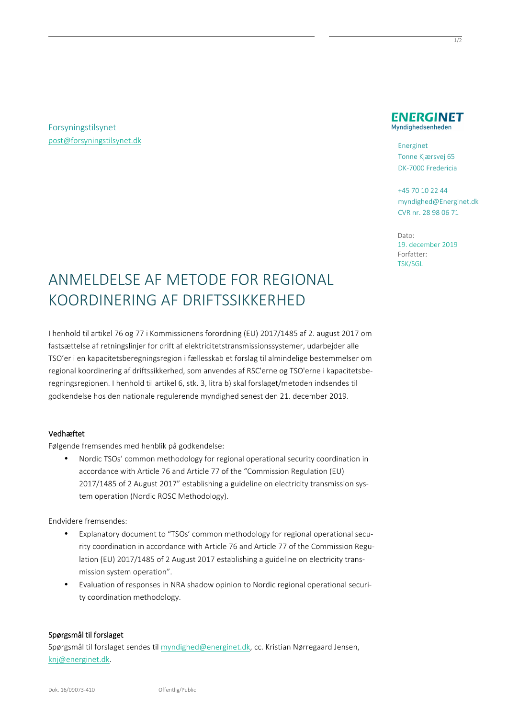Forsyningstilsynet [post@forsyningstilsynet.dk](mailto:post@forsyningstilsynet.dk) 

#### **ENERGINET** Myndighedsenheden

Energinet Tonne Kjærsvej 65 DK-7000 Fredericia

+45 70 10 22 44 myndighed@Energinet.dk CVR nr. 28 98 06 71

Dato: 19. december 2019 Forfatter: TSK/SGL

# ANMELDELSE AF METODE FOR REGIONAL KOORDINERING AF DRIFTSSIKKERHED

I henhold til artikel 76 og 77 i Kommissionens forordning (EU) 2017/1485 af 2. august 2017 om fastsættelse af retningslinjer for drift af elektricitetstransmissionssystemer, udarbejder alle TSO'er i en kapacitetsberegningsregion i fællesskab et forslag til almindelige bestemmelser om regional koordinering af driftssikkerhed, som anvendes af RSC'erne og TSO'erne i kapacitetsberegningsregionen. I henhold til artikel 6, stk. 3, litra b) skal forslaget/metoden indsendes til godkendelse hos den nationale regulerende myndighed senest den 21. december 2019.

### Vedhæftet

Følgende fremsendes med henblik på godkendelse:

• Nordic TSOs' common methodology for regional operational security coordination in accordance with Article 76 and Article 77 of the "Commission Regulation (EU) 2017/1485 of 2 August 2017" establishing a guideline on electricity transmission system operation (Nordic ROSC Methodology).

Endvidere fremsendes:

- Explanatory document to "TSOs' common methodology for regional operational security coordination in accordance with Article 76 and Article 77 of the Commission Regulation (EU) 2017/1485 of 2 August 2017 establishing a guideline on electricity transmission system operation".
- Evaluation of responses in NRA shadow opinion to Nordic regional operational security coordination methodology.

### Spørgsmål til forslaget

Spørgsmål til forslaget sendes til [myndighed@energinet.dk,](mailto:myndighed@energinet.dk) cc. Kristian Nørregaard Jensen, [knj@energinet.dk.](mailto:knj@energinet.dk)

 $1/2$